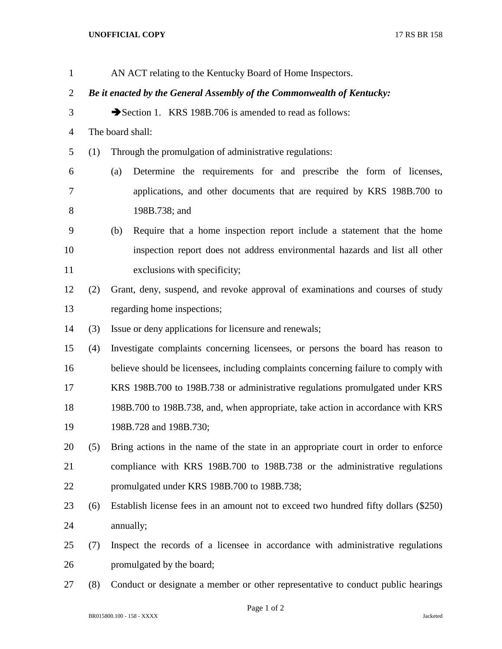## **UNOFFICIAL COPY** 17 RS BR 158

| $\mathbf{1}$   |     | AN ACT relating to the Kentucky Board of Home Inspectors.                           |
|----------------|-----|-------------------------------------------------------------------------------------|
| $\overline{2}$ |     | Be it enacted by the General Assembly of the Commonwealth of Kentucky:              |
| 3              |     | Section 1. KRS 198B.706 is amended to read as follows:                              |
| $\overline{4}$ |     | The board shall:                                                                    |
| 5              | (1) | Through the promulgation of administrative regulations:                             |
| 6              |     | Determine the requirements for and prescribe the form of licenses,<br>(a)           |
| 7              |     | applications, and other documents that are required by KRS 198B.700 to              |
| 8              |     | 198B.738; and                                                                       |
| 9              |     | Require that a home inspection report include a statement that the home<br>(b)      |
| 10             |     | inspection report does not address environmental hazards and list all other         |
| 11             |     | exclusions with specificity;                                                        |
| 12             | (2) | Grant, deny, suspend, and revoke approval of examinations and courses of study      |
| 13             |     | regarding home inspections;                                                         |
| 14             | (3) | Issue or deny applications for licensure and renewals;                              |
| 15             | (4) | Investigate complaints concerning licensees, or persons the board has reason to     |
| 16             |     | believe should be licensees, including complaints concerning failure to comply with |
| 17             |     | KRS 198B.700 to 198B.738 or administrative regulations promulgated under KRS        |
| 18             |     | 198B.700 to 198B.738, and, when appropriate, take action in accordance with KRS     |
| 19             |     | 198B.728 and 198B.730;                                                              |
| 20             | (5) | Bring actions in the name of the state in an appropriate court in order to enforce  |
| 21             |     | compliance with KRS 198B.700 to 198B.738 or the administrative regulations          |
| 22             |     | promulgated under KRS 198B.700 to 198B.738;                                         |
| 23             | (6) | Establish license fees in an amount not to exceed two hundred fifty dollars (\$250) |
| 24             |     | annually;                                                                           |
| 25             | (7) | Inspect the records of a licensee in accordance with administrative regulations     |
| 26             |     | promulgated by the board;                                                           |
| 27             | (8) | Conduct or designate a member or other representative to conduct public hearings    |

Page 1 of 2